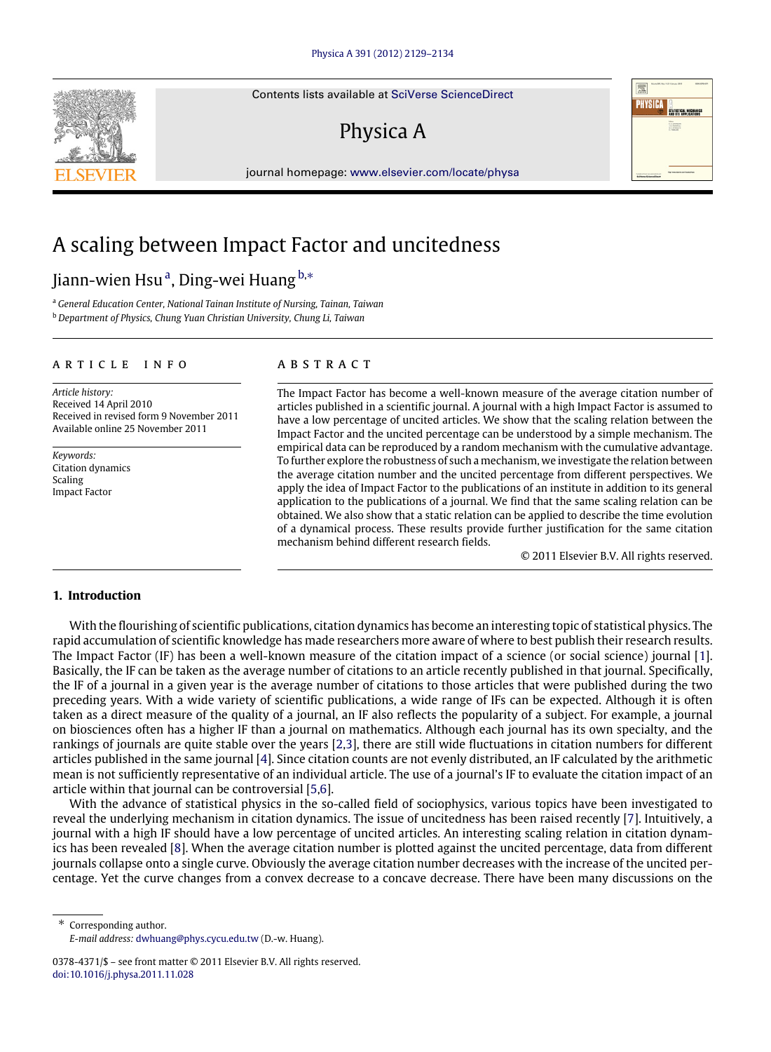Contents lists available at [SciVerse ScienceDirect](http://www.elsevier.com/locate/physa)

## Physica A

journal homepage: [www.elsevier.com/locate/physa](http://www.elsevier.com/locate/physa)

### A scaling between Impact Factor and uncitedness

### Ji[a](#page-0-0)nn-wien Hsu<sup>a</sup>, Ding-wei Huang <sup>[b,](#page-0-1)</sup>\*

<span id="page-0-1"></span><span id="page-0-0"></span><sup>a</sup> *General Education Center, National Tainan Institute of Nursing, Tainan, Taiwan* <sup>b</sup> *Department of Physics, Chung Yuan Christian University, Chung Li, Taiwan*

#### a r t i c l e i n f o

*Article history:* Received 14 April 2010 Received in revised form 9 November 2011 Available online 25 November 2011

*Keywords:* Citation dynamics Scaling Impact Factor

#### a b s t r a c t

The Impact Factor has become a well-known measure of the average citation number of articles published in a scientific journal. A journal with a high Impact Factor is assumed to have a low percentage of uncited articles. We show that the scaling relation between the Impact Factor and the uncited percentage can be understood by a simple mechanism. The empirical data can be reproduced by a random mechanism with the cumulative advantage. To further explore the robustness of such a mechanism, we investigate the relation between the average citation number and the uncited percentage from different perspectives. We apply the idea of Impact Factor to the publications of an institute in addition to its general application to the publications of a journal. We find that the same scaling relation can be obtained. We also show that a static relation can be applied to describe the time evolution of a dynamical process. These results provide further justification for the same citation mechanism behind different research fields.

© 2011 Elsevier B.V. All rights reserved.

PHYSICA

ELETTETICAL MECHANICA E

#### **1. Introduction**

With the flourishing of scientific publications, citation dynamics has become an interesting topic of statistical physics. The rapid accumulation of scientific knowledge has made researchers more aware of where to best publish their research results. The Impact Factor (IF) has been a well-known measure of the citation impact of a science (or social science) journal [\[1\]](#page--1-0). Basically, the IF can be taken as the average number of citations to an article recently published in that journal. Specifically, the IF of a journal in a given year is the average number of citations to those articles that were published during the two preceding years. With a wide variety of scientific publications, a wide range of IFs can be expected. Although it is often taken as a direct measure of the quality of a journal, an IF also reflects the popularity of a subject. For example, a journal on biosciences often has a higher IF than a journal on mathematics. Although each journal has its own specialty, and the rankings of journals are quite stable over the years [\[2](#page--1-1)[,3\]](#page--1-2), there are still wide fluctuations in citation numbers for different articles published in the same journal [\[4\]](#page--1-3). Since citation counts are not evenly distributed, an IF calculated by the arithmetic mean is not sufficiently representative of an individual article. The use of a journal's IF to evaluate the citation impact of an article within that journal can be controversial [\[5](#page--1-4)[,6\]](#page--1-5).

With the advance of statistical physics in the so-called field of sociophysics, various topics have been investigated to reveal the underlying mechanism in citation dynamics. The issue of uncitedness has been raised recently [\[7\]](#page--1-6). Intuitively, a journal with a high IF should have a low percentage of uncited articles. An interesting scaling relation in citation dynamics has been revealed [\[8\]](#page--1-7). When the average citation number is plotted against the uncited percentage, data from different journals collapse onto a single curve. Obviously the average citation number decreases with the increase of the uncited percentage. Yet the curve changes from a convex decrease to a concave decrease. There have been many discussions on the

<span id="page-0-2"></span>Corresponding author. *E-mail address:* [dwhuang@phys.cycu.edu.tw](mailto:dwhuang@phys.cycu.edu.tw) (D.-w. Huang).



<sup>0378-4371/\$ –</sup> see front matter © 2011 Elsevier B.V. All rights reserved. [doi:10.1016/j.physa.2011.11.028](http://dx.doi.org/10.1016/j.physa.2011.11.028)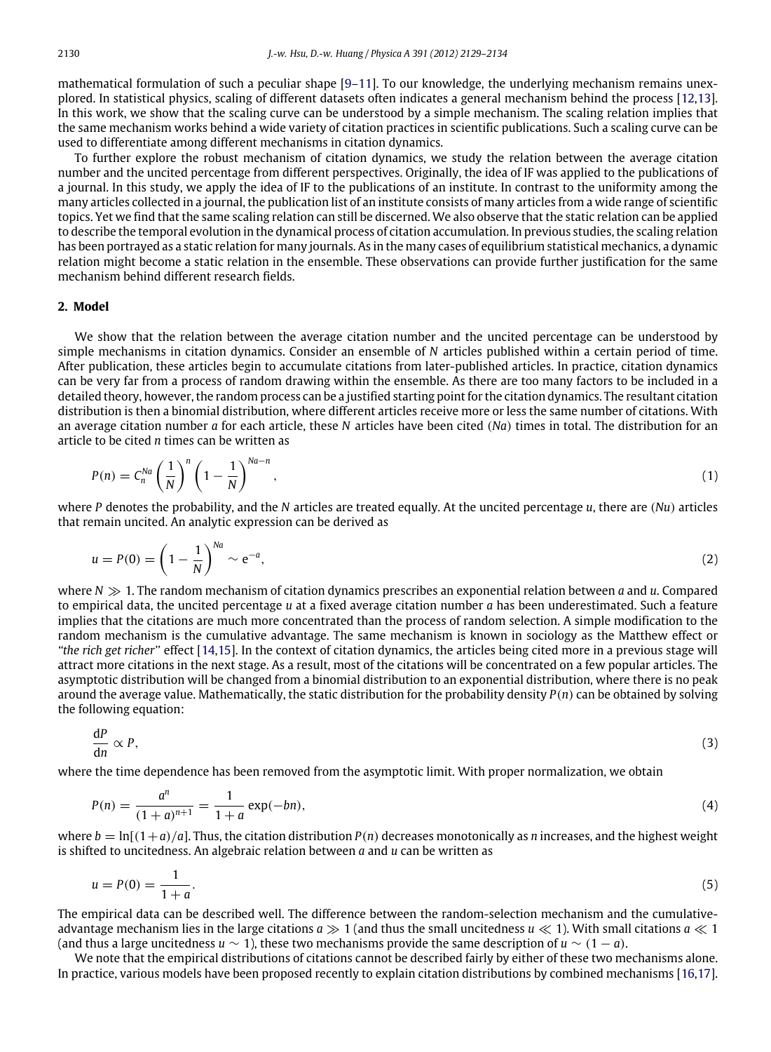mathematical formulation of such a peculiar shape [\[9–11\]](#page--1-8). To our knowledge, the underlying mechanism remains unexplored. In statistical physics, scaling of different datasets often indicates a general mechanism behind the process [\[12,](#page--1-9)[13\]](#page--1-10). In this work, we show that the scaling curve can be understood by a simple mechanism. The scaling relation implies that the same mechanism works behind a wide variety of citation practices in scientific publications. Such a scaling curve can be used to differentiate among different mechanisms in citation dynamics.

To further explore the robust mechanism of citation dynamics, we study the relation between the average citation number and the uncited percentage from different perspectives. Originally, the idea of IF was applied to the publications of a journal. In this study, we apply the idea of IF to the publications of an institute. In contrast to the uniformity among the many articles collected in a journal, the publication list of an institute consists of many articles from a wide range of scientific topics. Yet we find that the same scaling relation can still be discerned. We also observe that the static relation can be applied to describe the temporal evolution in the dynamical process of citation accumulation. In previous studies, the scaling relation has been portrayed as a static relation for many journals. As in the many cases of equilibrium statistical mechanics, a dynamic relation might become a static relation in the ensemble. These observations can provide further justification for the same mechanism behind different research fields.

#### **2. Model**

We show that the relation between the average citation number and the uncited percentage can be understood by simple mechanisms in citation dynamics. Consider an ensemble of *N* articles published within a certain period of time. After publication, these articles begin to accumulate citations from later-published articles. In practice, citation dynamics can be very far from a process of random drawing within the ensemble. As there are too many factors to be included in a detailed theory, however, the random process can be a justified starting point for the citation dynamics. The resultant citation distribution is then a binomial distribution, where different articles receive more or less the same number of citations. With an average citation number *a* for each article, these *N* articles have been cited (*Na*) times in total. The distribution for an article to be cited *n* times can be written as

$$
P(n) = C_n^{Na} \left(\frac{1}{N}\right)^n \left(1 - \frac{1}{N}\right)^{Na - n},\tag{1}
$$

where *P* denotes the probability, and the *N* articles are treated equally. At the uncited percentage *u*, there are (*Nu*) articles that remain uncited. An analytic expression can be derived as

$$
u = P(0) = \left(1 - \frac{1}{N}\right)^{Na} \sim e^{-a},\tag{2}
$$

where *N* ≫ 1. The random mechanism of citation dynamics prescribes an exponential relation between *a* and *u*. Compared to empirical data, the uncited percentage *u* at a fixed average citation number *a* has been underestimated. Such a feature implies that the citations are much more concentrated than the process of random selection. A simple modification to the random mechanism is the cumulative advantage. The same mechanism is known in sociology as the Matthew effect or *''the rich get richer''* effect [\[14,](#page--1-11)[15\]](#page--1-12). In the context of citation dynamics, the articles being cited more in a previous stage will attract more citations in the next stage. As a result, most of the citations will be concentrated on a few popular articles. The asymptotic distribution will be changed from a binomial distribution to an exponential distribution, where there is no peak around the average value. Mathematically, the static distribution for the probability density *P*(*n*) can be obtained by solving the following equation:

$$
\frac{\mathrm{d}P}{\mathrm{d}n} \propto P,\tag{3}
$$

where the time dependence has been removed from the asymptotic limit. With proper normalization, we obtain

$$
P(n) = \frac{a^n}{(1+a)^{n+1}} = \frac{1}{1+a} \exp(-bn),
$$
\n(4)

where  $b = \ln[(1+a)/a]$ . Thus, the citation distribution  $P(n)$  decreases monotonically as *n* increases, and the highest weight is shifted to uncitedness. An algebraic relation between *a* and *u* can be written as

$$
u = P(0) = \frac{1}{1+a}.\tag{5}
$$

The empirical data can be described well. The difference between the random-selection mechanism and the cumulativeadvantage mechanism lies in the large citations  $a \gg 1$  (and thus the small uncitedness  $u \ll 1$ ). With small citations  $a \ll 1$ (and thus a large uncitedness *u*  $\sim$  1), these two mechanisms provide the same description of *u*  $\sim$  (1 − *a*).

We note that the empirical distributions of citations cannot be described fairly by either of these two mechanisms alone. In practice, various models have been proposed recently to explain citation distributions by combined mechanisms [\[16,](#page--1-13)[17\]](#page--1-14).